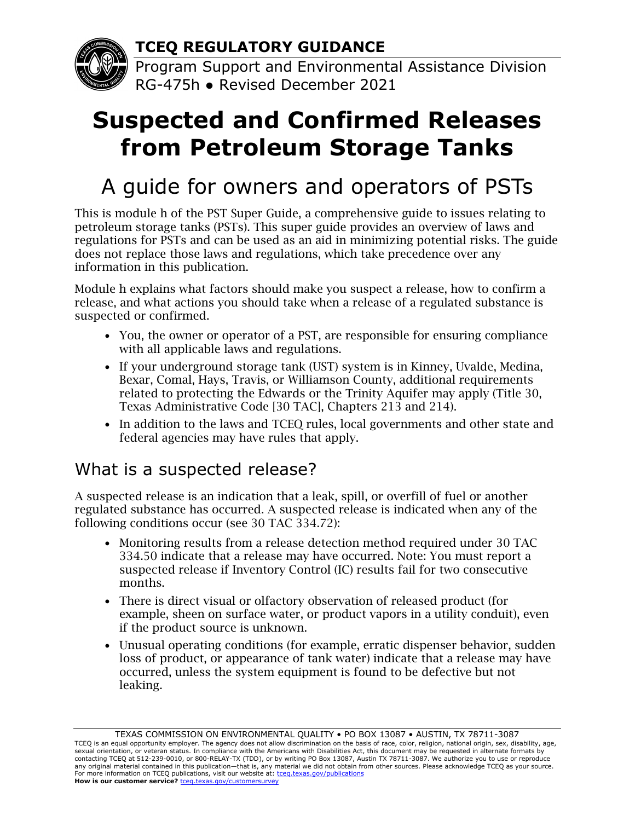**TCEQ REGULATORY GUIDANCE**

Program Support and Environmental Assistance Division RG-475h ● Revised December 2021

# **Suspected and Confirmed Releases from Petroleum Storage Tanks**

## A guide for owners and operators of PSTs

This is module h of the PST Super Guide, a comprehensive guide to issues relating to petroleum storage tanks (PSTs). This super guide provides an overview of laws and regulations for PSTs and can be used as an aid in minimizing potential risks. The guide does not replace those laws and regulations, which take precedence over any information in this publication.

Module h explains what factors should make you suspect a release, how to confirm a release, and what actions you should take when a release of a regulated substance is suspected or confirmed.

- You, the owner or operator of a PST, are responsible for ensuring compliance with all applicable laws and regulations.
- If your underground storage tank (UST) system is in Kinney, Uvalde, Medina, Bexar, Comal, Hays, Travis, or Williamson County, additional requirements related to protecting the Edwards or the Trinity Aquifer may apply (Title 30, Texas Administrative Code [30 TAC], Chapters 213 and 214).
- In addition to the laws and TCEQ rules, local governments and other state and federal agencies may have rules that apply.

### What is a suspected release?

A suspected release is an indication that a leak, spill, or overfill of fuel or another regulated substance has occurred. A suspected release is indicated when any of the following conditions occur (see 30 TAC 334.72):

- Monitoring results from a release detection method required under 30 TAC 334.50 indicate that a release may have occurred. Note: You must report a suspected release if Inventory Control (IC) results fail for two consecutive months.
- There is direct visual or olfactory observation of released product (for example, sheen on surface water, or product vapors in a utility conduit), even if the product source is unknown.
- Unusual operating conditions (for example, erratic dispenser behavior, sudden loss of product, or appearance of tank water) indicate that a release may have occurred, unless the system equipment is found to be defective but not leaking.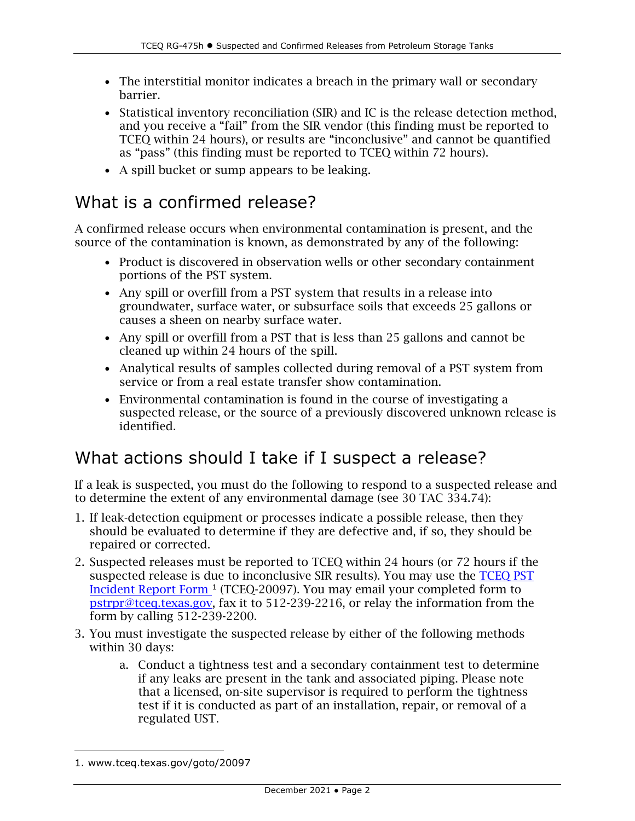- The interstitial monitor indicates a breach in the primary wall or secondary barrier.
- Statistical inventory reconciliation (SIR) and IC is the release detection method, and you receive a "fail" from the SIR vendor (this finding must be reported to TCEQ within 24 hours), or results are "inconclusive" and cannot be quantified as "pass" (this finding must be reported to TCEQ within 72 hours).
- A spill bucket or sump appears to be leaking.

#### What is a confirmed release?

A confirmed release occurs when environmental contamination is present, and the source of the contamination is known, as demonstrated by any of the following:

- Product is discovered in observation wells or other secondary containment portions of the PST system.
- Any spill or overfill from a PST system that results in a release into groundwater, surface water, or subsurface soils that exceeds 25 gallons or causes a sheen on nearby surface water.
- Any spill or overfill from a PST that is less than 25 gallons and cannot be cleaned up within 24 hours of the spill.
- Analytical results of samples collected during removal of a PST system from service or from a real estate transfer show contamination.
- Environmental contamination is found in the course of investigating a suspected release, or the source of a previously discovered unknown release is identified.

### What actions should I take if I suspect a release?

If a leak is suspected, you must do the following to respond to a suspected release and to determine the extent of any environmental damage (see 30 TAC 334.74):

- 1. If leak-detection equipment or processes indicate a possible release, then they should be evaluated to determine if they are defective and, if so, they should be repaired or corrected.
- 2. Suspected releases must be reported to TCEQ within 24 hours (or 72 hours if the suspected release is due to inconclusive SIR results). You may use the [TCEQ PST](https://www.tceq.texas.gov/goto/20097) [Incident Report Form](https://www.tceq.texas.gov/goto/20097) [1](#page-1-0) (TCEQ-20097). You may email your completed form to [pstrpr@tceq.texas.gov,](mailto:pstrpr@tceq.texas.gov) fax it to 512-239-2216, or relay the information from the form by calling 512-239-2200.
- 3. You must investigate the suspected release by either of the following methods within 30 days:
	- a. Conduct a tightness test and a secondary containment test to determine if any leaks are present in the tank and associated piping. Please note that a licensed, on-site supervisor is required to perform the tightness test if it is conducted as part of an installation, repair, or removal of a regulated UST.

<span id="page-1-0"></span><sup>1.</sup> www.tceq.texas.gov/goto/20097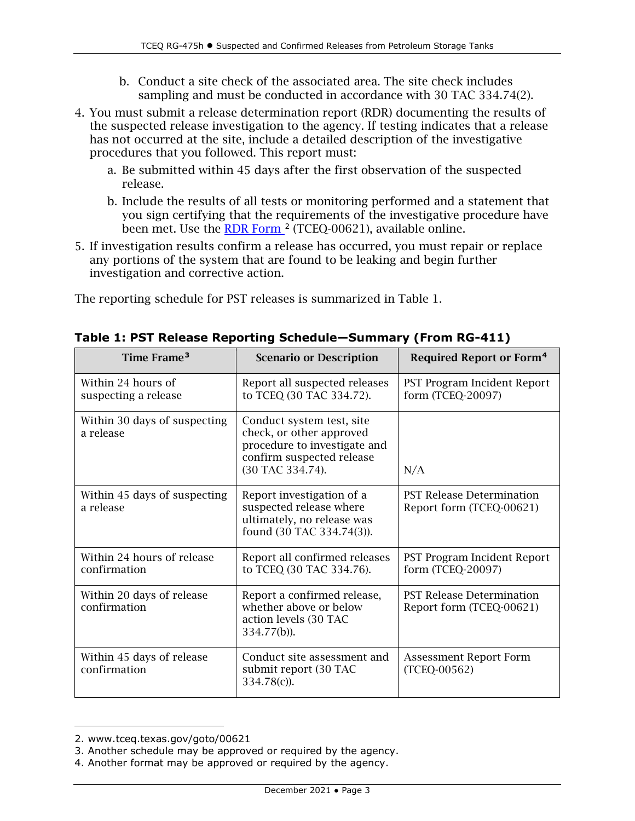- b. Conduct a site check of the associated area. The site check includes sampling and must be conducted in accordance with 30 TAC 334.74(2).
- 4. You must submit a release determination report (RDR) documenting the results of the suspected release investigation to the agency. If testing indicates that a release has not occurred at the site, include a detailed description of the investigative procedures that you followed. This report must:
	- a. Be submitted within 45 days after the first observation of the suspected release.
	- b. Include the results of all tests or monitoring performed and a statement that you sign certifying that the requirements of the investigative procedure have been met. Use the [RDR Form](https://www.tceq.texas.gov/goto/00621) <sup>[2](#page-2-0)</sup> (TCEQ-00621), available online.
- 5. If investigation results confirm a release has occurred, you must repair or replace any portions of the system that are found to be leaking and begin further investigation and corrective action.

The reporting schedule for PST releases is summarized in Table 1.

| Time Frame <sup>3</sup>                    | <b>Scenario or Description</b>                                                                                                         | <b>Required Report or Form<sup>4</sup></b>                   |
|--------------------------------------------|----------------------------------------------------------------------------------------------------------------------------------------|--------------------------------------------------------------|
| Within 24 hours of<br>suspecting a release | Report all suspected releases<br>to TCEQ (30 TAC 334.72).                                                                              | PST Program Incident Report<br>form (TCEQ-20097)             |
| Within 30 days of suspecting<br>a release  | Conduct system test, site<br>check, or other approved<br>procedure to investigate and<br>confirm suspected release<br>(30 TAC 334.74). | N/A                                                          |
| Within 45 days of suspecting<br>a release  | Report investigation of a<br>suspected release where<br>ultimately, no release was<br>found (30 TAC 334.74(3)).                        | <b>PST Release Determination</b><br>Report form (TCEQ-00621) |
| Within 24 hours of release<br>confirmation | Report all confirmed releases<br>to TCEQ (30 TAC 334.76).                                                                              | <b>PST Program Incident Report</b><br>form (TCEQ-20097)      |
| Within 20 days of release<br>confirmation  | Report a confirmed release,<br>whether above or below<br>action levels (30 TAC<br>334.77(b)).                                          | <b>PST Release Determination</b><br>Report form (TCEQ-00621) |
| Within 45 days of release<br>confirmation  | Conduct site assessment and<br>submit report (30 TAC<br>$334.78(c)$ ).                                                                 | <b>Assessment Report Form</b><br>(TCEQ-00562)                |

<span id="page-2-0"></span><sup>2.</sup> www.tceq.texas.gov/goto/00621

<span id="page-2-1"></span><sup>3.</sup> Another schedule may be approved or required by the agency.

<span id="page-2-2"></span><sup>4.</sup> Another format may be approved or required by the agency.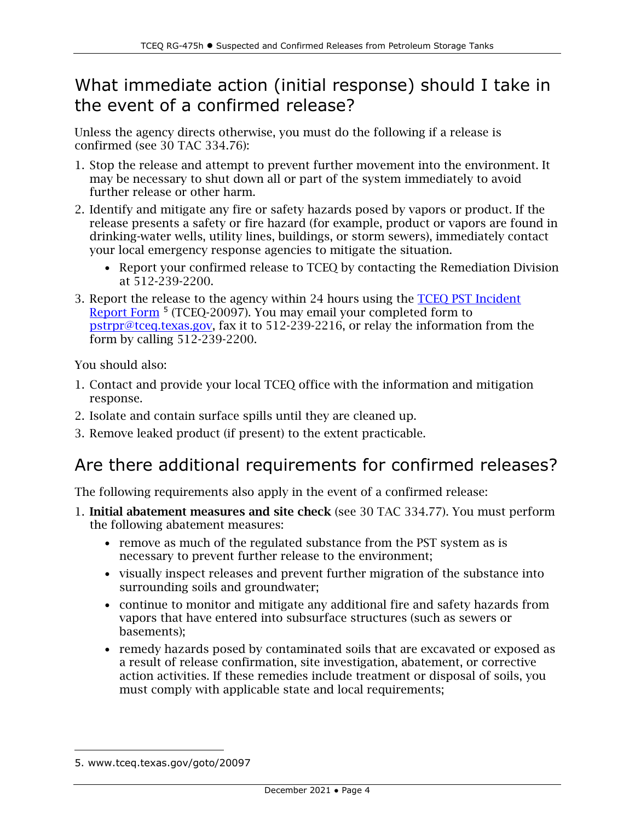#### What immediate action (initial response) should I take in the event of a confirmed release?

Unless the agency directs otherwise, you must do the following if a release is confirmed (see 30 TAC 334.76):

- 1. Stop the release and attempt to prevent further movement into the environment. It may be necessary to shut down all or part of the system immediately to avoid further release or other harm.
- 2. Identify and mitigate any fire or safety hazards posed by vapors or product. If the release presents a safety or fire hazard (for example, product or vapors are found in drinking-water wells, utility lines, buildings, or storm sewers), immediately contact your local emergency response agencies to mitigate the situation.
	- Report your confirmed release to TCEQ by contacting the Remediation Division at 512-239-2200.
- 3. Report the release to the agency within 24 hours using the [TCEQ PST Incident](https://www.tceq.texas.gov/goto/20097)  [Report Form](https://www.tceq.texas.gov/goto/20097) [5](#page-3-0) (TCEQ-20097). You may email your completed form to [pstrpr@tceq.texas.gov,](mailto:pstrpr@tceq.texas.gov) fax it to 512-239-2216, or relay the information from the form by calling 512-239-2200.

You should also:

- 1. Contact and provide your local TCEQ office with the information and mitigation response.
- 2. Isolate and contain surface spills until they are cleaned up.
- 3. Remove leaked product (if present) to the extent practicable.

### Are there additional requirements for confirmed releases?

The following requirements also apply in the event of a confirmed release:

- 1. Initial abatement measures and site check (see 30 TAC 334.77). You must perform the following abatement measures:
	- remove as much of the regulated substance from the PST system as is necessary to prevent further release to the environment;
	- visually inspect releases and prevent further migration of the substance into surrounding soils and groundwater;
	- continue to monitor and mitigate any additional fire and safety hazards from vapors that have entered into subsurface structures (such as sewers or basements);
	- remedy hazards posed by contaminated soils that are excavated or exposed as a result of release confirmation, site investigation, abatement, or corrective action activities. If these remedies include treatment or disposal of soils, you must comply with applicable state and local requirements;

<span id="page-3-0"></span><sup>5.</sup> www.tceq.texas.gov/goto/20097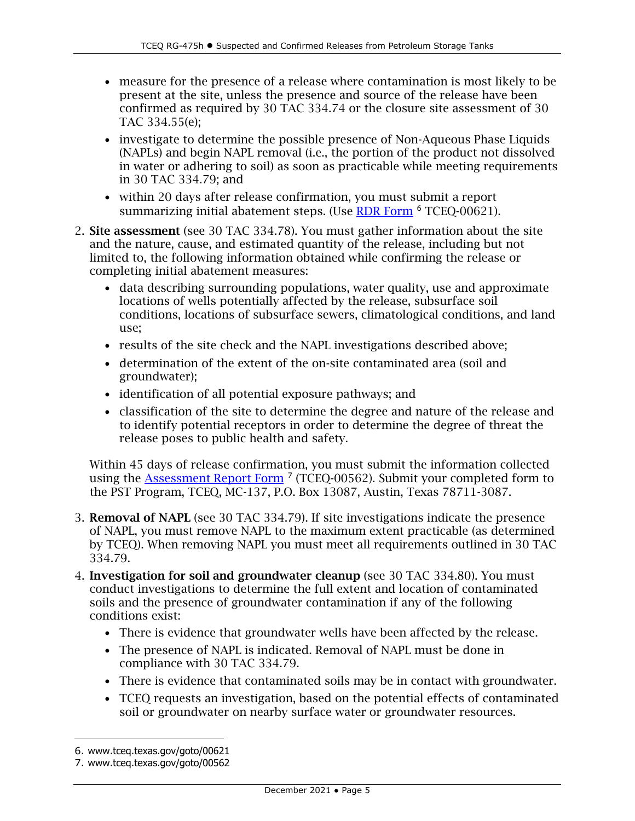- measure for the presence of a release where contamination is most likely to be present at the site, unless the presence and source of the release have been confirmed as required by 30 TAC 334.74 or the closure site assessment of 30 TAC 334.55(e);
- investigate to determine the possible presence of Non-Aqueous Phase Liquids (NAPLs) and begin NAPL removal (i.e., the portion of the product not dissolved in water or adhering to soil) as soon as practicable while meeting requirements in 30 TAC 334.79; and
- within 20 days after release confirmation, you must submit a report summarizing initial abatement steps. (Use [RDR Form](https://www.tceq.texas.gov/goto/00621) <sup>[6](#page-4-0)</sup> TCEQ-00621).
- 2. Site assessment (see 30 TAC 334.78). You must gather information about the site and the nature, cause, and estimated quantity of the release, including but not limited to, the following information obtained while confirming the release or completing initial abatement measures:
	- data describing surrounding populations, water quality, use and approximate locations of wells potentially affected by the release, subsurface soil conditions, locations of subsurface sewers, climatological conditions, and land use;
	- results of the site check and the NAPL investigations described above;
	- determination of the extent of the on-site contaminated area (soil and groundwater);
	- identification of all potential exposure pathways; and
	- classification of the site to determine the degree and nature of the release and to identify potential receptors in order to determine the degree of threat the release poses to public health and safety.

Within 45 days of release confirmation, you must submit the information collected using the **Assessment Report Form** <sup>[7](#page-4-1)</sup> (TCEQ-00562). Submit your completed form to the PST Program, TCEQ, MC-137, P.O. Box 13087, Austin, Texas 78711-3087.

- 3. Removal of NAPL (see 30 TAC 334.79). If site investigations indicate the presence of NAPL, you must remove NAPL to the maximum extent practicable (as determined by TCEQ). When removing NAPL you must meet all requirements outlined in 30 TAC 334.79.
- 4. Investigation for soil and groundwater cleanup (see 30 TAC 334.80). You must conduct investigations to determine the full extent and location of contaminated soils and the presence of groundwater contamination if any of the following conditions exist:
	- There is evidence that groundwater wells have been affected by the release.
	- The presence of NAPL is indicated. Removal of NAPL must be done in compliance with 30 TAC 334.79.
	- There is evidence that contaminated soils may be in contact with groundwater.
	- TCEQ requests an investigation, based on the potential effects of contaminated soil or groundwater on nearby surface water or groundwater resources.

<span id="page-4-0"></span><sup>6.</sup> www.tceq.texas.gov/goto/00621

<span id="page-4-1"></span><sup>7.</sup> www.tceq.texas.gov/goto/00562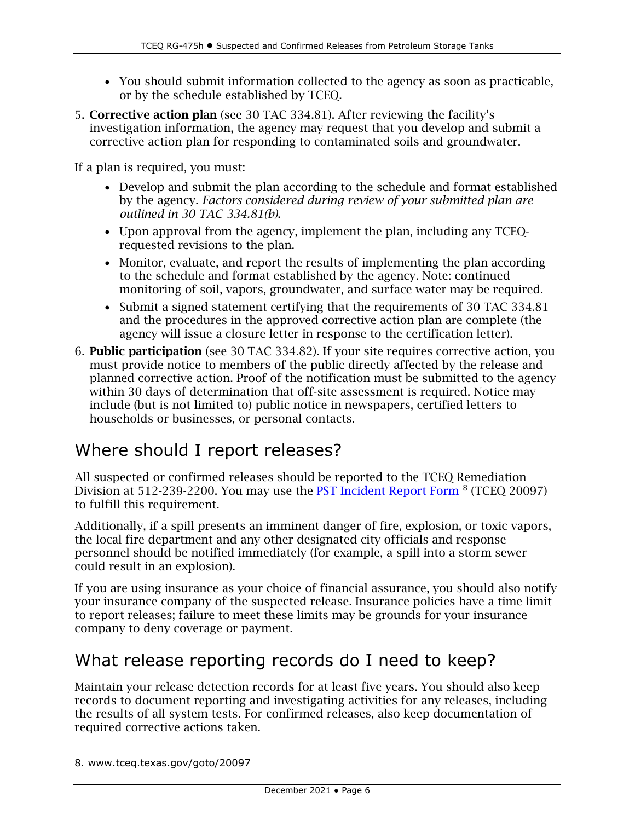- You should submit information collected to the agency as soon as practicable, or by the schedule established by TCEQ.
- 5. Corrective action plan (see 30 TAC 334.81). After reviewing the facility's investigation information, the agency may request that you develop and submit a corrective action plan for responding to contaminated soils and groundwater.

If a plan is required, you must:

- Develop and submit the plan according to the schedule and format established by the agency. *Factors considered during review of your submitted plan are outlined in 30 TAC 334.81(b)*.
- Upon approval from the agency, implement the plan, including any TCEQrequested revisions to the plan.
- Monitor, evaluate, and report the results of implementing the plan according to the schedule and format established by the agency. Note: continued monitoring of soil, vapors, groundwater, and surface water may be required.
- Submit a signed statement certifying that the requirements of 30 TAC 334.81 and the procedures in the approved corrective action plan are complete (the agency will issue a closure letter in response to the certification letter).
- 6. Public participation (see 30 TAC 334.82). If your site requires corrective action, you must provide notice to members of the public directly affected by the release and planned corrective action. Proof of the notification must be submitted to the agency within 30 days of determination that off-site assessment is required. Notice may include (but is not limited to) public notice in newspapers, certified letters to households or businesses, or personal contacts.

### Where should I report releases?

All suspected or confirmed releases should be reported to the TCEQ Remediation Division at 512-239-2200. You may use the [PST Incident Report Form](https://www.tceq.texas.gov/goto/20097) <sup>[8](#page-5-0)</sup> (TCEQ 20097) to fulfill this requirement.

Additionally, if a spill presents an imminent danger of fire, explosion, or toxic vapors, the local fire department and any other designated city officials and response personnel should be notified immediately (for example, a spill into a storm sewer could result in an explosion).

If you are using insurance as your choice of financial assurance, you should also notify your insurance company of the suspected release. Insurance policies have a time limit to report releases; failure to meet these limits may be grounds for your insurance company to deny coverage or payment.

#### What release reporting records do I need to keep?

Maintain your release detection records for at least five years. You should also keep records to document reporting and investigating activities for any releases, including the results of all system tests. For confirmed releases, also keep documentation of required corrective actions taken.

<span id="page-5-0"></span><sup>8.</sup> www.tceq.texas.gov/goto/20097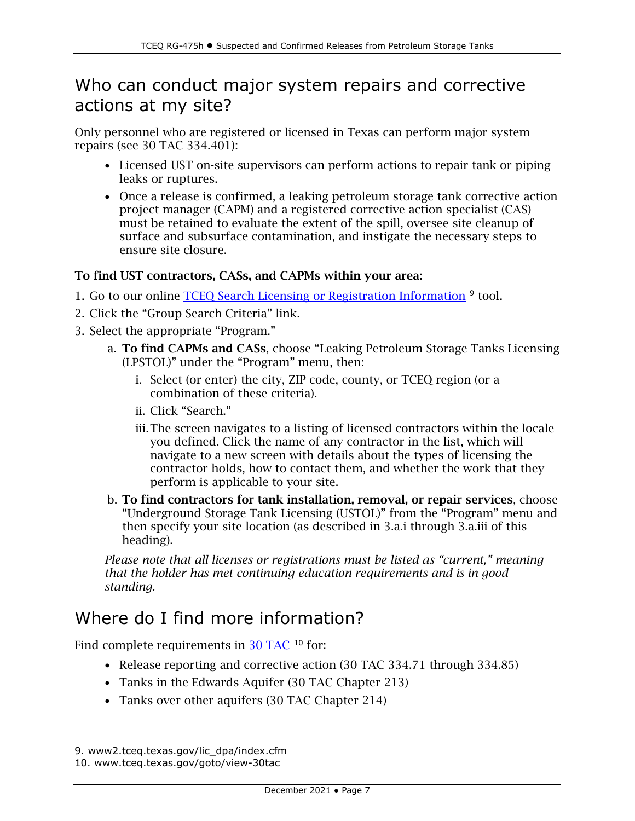#### Who can conduct major system repairs and corrective actions at my site?

Only personnel who are registered or licensed in Texas can perform major system repairs (see 30 TAC 334.401):

- Licensed UST on-site supervisors can perform actions to repair tank or piping leaks or ruptures.
- Once a release is confirmed, a leaking petroleum storage tank corrective action project manager (CAPM) and a registered corrective action specialist (CAS) must be retained to evaluate the extent of the spill, oversee site cleanup of surface and subsurface contamination, and instigate the necessary steps to ensure site closure.

#### To find UST contractors, CASs, and CAPMs within your area:

- 1. Go to our online TCEQ Search Licensing or Registration Information [9](#page-6-0) tool.
- 2. Click the "Group Search Criteria" link.
- 3. Select the appropriate "Program."
	- a. To find CAPMs and CASs, choose "Leaking Petroleum Storage Tanks Licensing (LPSTOL)" under the "Program" menu, then:
		- i. Select (or enter) the city, ZIP code, county, or TCEQ region (or a combination of these criteria).
		- ii. Click "Search."
		- iii.The screen navigates to a listing of licensed contractors within the locale you defined. Click the name of any contractor in the list, which will navigate to a new screen with details about the types of licensing the contractor holds, how to contact them, and whether the work that they perform is applicable to your site.
	- b. To find contractors for tank installation, removal, or repair services, choose "Underground Storage Tank Licensing (USTOL)" from the "Program" menu and then specify your site location (as described in 3.a.i through 3.a.iii of this heading).

*Please note that all licenses or registrations must be listed as "current," meaning that the holder has met continuing education requirements and is in good standing.*

#### Where do I find more information?

Find complete requirements in [30 TAC](http://www.tceq.texas.gov/goto/view-30tac) <sup>[10](#page-6-1)</sup> for:

- Release reporting and corrective action (30 TAC 334.71 through 334.85)
- Tanks in the Edwards Aquifer (30 TAC Chapter 213)
- Tanks over other aquifers (30 TAC Chapter 214)

<span id="page-6-1"></span><span id="page-6-0"></span><sup>9.</sup> [www2.tceq.texas.gov/lic\\_dpa/index.cfm](http://www2.tceq.texas.gov/lic_dpa/index.cfm)

<sup>10.</sup> www.tceq.texas.gov/goto/view-30tac